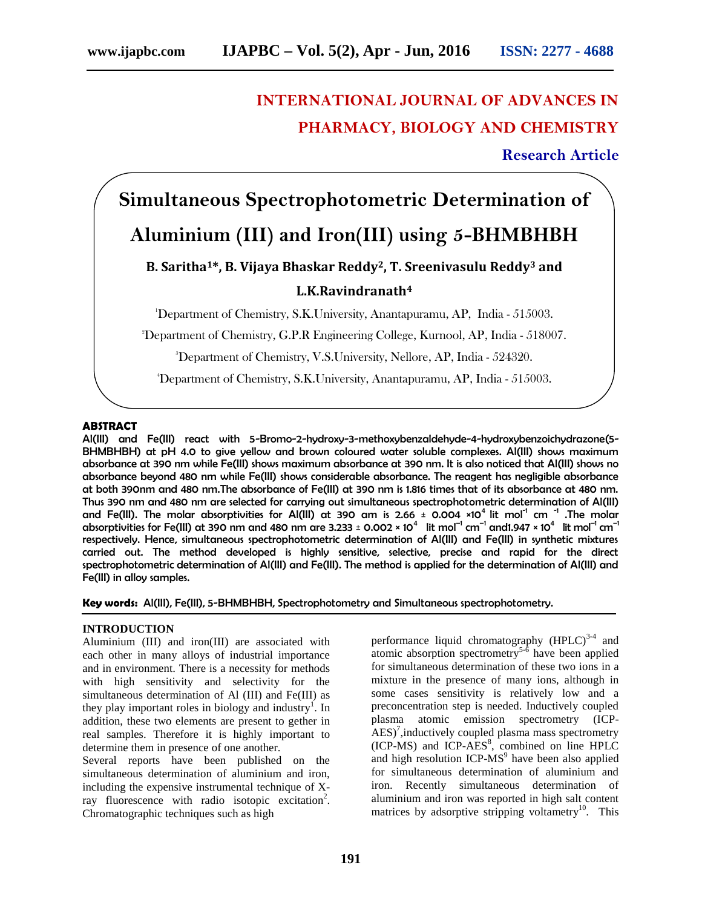## **INTERNATIONAL JOURNAL OF ADVANCES IN PHARMACY, BIOLOGY AND CHEMISTRY**

**Research Article**

# **Simultaneous Spectrophotometric Determination of Aluminium (III) and Iron(III) using 5-BHMBHBH**

### **B. Saritha1\*, B. Vijaya Bhaskar Reddy2, T. Sreenivasulu Reddy<sup>3</sup> and L.K.Ravindranath<sup>4</sup>**

<sup>1</sup>Department of Chemistry, S.K.University, Anantapuramu, AP, India - 515003.

<sup>2</sup>Department of Chemistry, G.P.R Engineering College, Kurnool, AP, India - 518007.

<sup>3</sup>Department of Chemistry, V.S.University, Nellore, AP, India - 524320.

<sup>4</sup>Department of Chemistry, S.K.University, Anantapuramu, AP, India - 515003.

#### **ABSTRACT**

Al(III) and Fe(III) react with 5-Bromo-2-hydroxy-3-methoxybenzaldehyde-4-hydroxybenzoichydrazone(5- BHMBHBH) at pH 4.0 to give yellow and brown coloured water soluble complexes. Al(III) shows maximum absorbance at 390 nm while Fe(III) shows maximum absorbance at 390 nm. It is also noticed that Al(III) shows no absorbance beyond 480 nm while Fe(III) shows considerable absorbance. The reagent has negligible absorbance at both 390nm and 480 nm.The absorbance of Fe(III) at 390 nm is 1.816 times that of its absorbance at 480 nm. Thus 390 nm and 480 nm are selected for carrying out simultaneous spectrophotometric determination of Al(III) and Fe(III). The molar absorptivities for Al(III) at 390 am is 2.66  $\pm$  0.004 ×10<sup>4</sup> lit mol $^{-1}$  cm  $^{-1}$  .The molar absorptivities for Fe(III) at 390 nm and 480 nm are 3.233 ± 0.002 × 10 $^4$   $\,$  lit mol $^{-1}$  cm $^{-1}$  and1.947 × 10 $^4\,$  lit mol $^{-1}$  cm $^{-1}$ respectively. Hence, simultaneous spectrophotometric determination of Al(III) and Fe(III) in synthetic mixtures carried out. The method developed is highly sensitive, selective, precise and rapid for the direct spectrophotometric determination of Al(III) and Fe(III). The method is applied for the determination of Al(III) and Fe(III) in alloy samples.

**Key words:** Al(III), Fe(III), 5-BHMBHBH, Spectrophotometry and Simultaneous spectrophotometry.

#### **INTRODUCTION**

Aluminium (III) and iron(III) are associated with each other in many alloys of industrial importance and in environment. There is a necessity for methods with high sensitivity and selectivity for the simultaneous determination of Al (III) and Fe(III) as they play important roles in biology and industry<sup>1</sup>. In addition, these two elements are present to gether in real samples. Therefore it is highly important to determine them in presence of one another.

Several reports have been published on the simultaneous determination of aluminium and iron, including the expensive instrumental technique of Xray fluorescence with radio isotopic excitation<sup>2</sup>. Chromatographic techniques such as high

performance liquid chromatography  $(HPLC)^{3.4}$  and atomic absorption spectrometry<sup>5-6</sup> have been applied for simultaneous determination of these two ions in a mixture in the presence of many ions, although in some cases sensitivity is relatively low and a preconcentration step is needed. Inductively coupled plasma atomic emission spectrometry (ICP-  $\text{AES}$ <sup>7</sup>, inductively coupled plasma mass spectrometry  $(ICP-MS)$  and  $ICP-AES<sup>8</sup>$ , combined on line HPLC and high resolution ICP-MS<sup>9</sup> have been also applied for simultaneous determination of aluminium and iron. Recently simultaneous determination of aluminium and iron was reported in high salt content matrices by adsorptive stripping voltametry<sup>10</sup>. This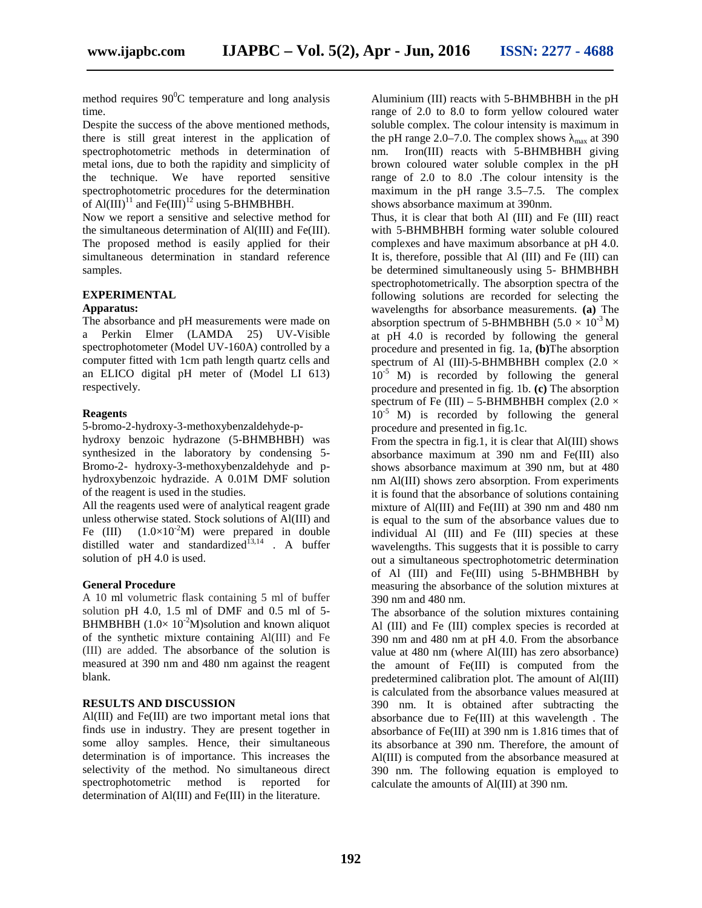method requires  $90^{\circ}$ C temperature and long analysis time.

Despite the success of the above mentioned methods, there is still great interest in the application of spectrophotometric methods in determination of metal ions, due to both the rapidity and simplicity of the technique. We have reported sensitive spectrophotometric procedures for the determination of Al(III)<sup>11</sup> and Fe(III)<sup>12</sup> using 5-BHMBHBH.

Now we report a sensitive and selective method for the simultaneous determination of Al(III) and Fe(III). The proposed method is easily applied for their simultaneous determination in standard reference samples.

#### **EXPERIMENTAL**

#### **Apparatus:**

The absorbance and pH measurements were made on a Perkin Elmer (LAMDA 25) UV-Visible spectrophotometer (Model UV-160A) controlled by a computer fitted with 1cm path length quartz cells and an ELICO digital pH meter of (Model LI 613) respectively.

#### **Reagents**

5-bromo-2-hydroxy-3-methoxybenzaldehyde-p-

hydroxy benzoic hydrazone (5-BHMBHBH) was synthesized in the laboratory by condensing 5- Bromo-2- hydroxy-3-methoxybenzaldehyde and p hydroxybenzoic hydrazide. A 0.01M DMF solution of the reagent is used in the studies.

All the reagents used were of analytical reagent grade unless otherwise stated. Stock solutions of Al(III) and Fe (III)  $(1.0\times10^{-2}M)$  were prepared in double distilled water and standardized $\frac{1}{3}$ , A buffer solution of pH 4.0 is used.

#### **General Procedure**

A 10 ml volumetric flask containing 5 ml of buffer solution pH 4.0, 1.5 ml of DMF and 0.5 ml of 5- BHMBHBH  $(1.0 \times 10^{-2} M)$ solution and known aliquot of the synthetic mixture containing Al(III) and Fe (III) are added. The absorbance of the solution is measured at 390 nm and 480 nm against the reagent blank.

#### **RESULTS AND DISCUSSION**

Al(III) and Fe(III) are two important metal ions that finds use in industry. They are present together in some alloy samples. Hence, their simultaneous determination is of importance. This increases the selectivity of the method. No simultaneous direct spectrophotometric method is reported for determination of Al(III) and Fe(III) in the literature.

Aluminium (III) reacts with 5-BHMBHBH in the pH range of 2.0 to 8.0 to form yellow coloured water soluble complex. The colour intensity is maximum in the pH range  $2.0-7.0$ . The complex shows  $_{\text{max}}$  at 390 nm. Iron(III) reacts with 5-BHMBHBH giving brown coloured water soluble complex in the pH range of 2.0 to 8.0 .The colour intensity is the maximum in the pH range 3.5–7.5. The complex shows absorbance maximum at 390nm.

Thus, it is clear that both Al (III) and Fe (III) react with 5-BHMBHBH forming water soluble coloured complexes and have maximum absorbance at pH 4.0. It is, therefore, possible that Al (III) and Fe (III) can be determined simultaneously using 5- BHMBHBH spectrophotometrically. The absorption spectra of the following solutions are recorded for selecting the wavelengths for absorbance measurements. **(a)** The absorption spectrum of 5-BHMBHBH  $(5.0 \times 10^{-3} M)$ at pH 4.0 is recorded by following the general procedure and presented in fig. 1a, **(b)**The absorption spectrum of Al (III)-5-BHMBHBH complex  $(2.0 \times$  $10^{-5}$  M) is recorded by following the general procedure and presented in fig. 1b. **(c)** The absorption spectrum of Fe (III) – 5-BHMBHBH complex (2.0  $\times$  $10^{-5}$  M) is recorded by following the general procedure and presented in fig.1c.

From the spectra in fig.1, it is clear that Al(III) shows absorbance maximum at 390 nm and Fe(III) also shows absorbance maximum at 390 nm, but at 480 nm Al(III) shows zero absorption. From experiments it is found that the absorbance of solutions containing mixture of Al(III) and Fe(III) at 390 nm and 480 nm is equal to the sum of the absorbance values due to individual Al (III) and Fe (III) species at these wavelengths. This suggests that it is possible to carry out a simultaneous spectrophotometric determination of Al (III) and Fe(III) using 5-BHMBHBH by measuring the absorbance of the solution mixtures at 390 nm and 480 nm.

The absorbance of the solution mixtures containing Al (III) and Fe (III) complex species is recorded at 390 nm and 480 nm at pH 4.0. From the absorbance value at 480 nm (where Al(III) has zero absorbance) the amount of Fe(III) is computed from the predetermined calibration plot. The amount of Al(III) is calculated from the absorbance values measured at 390 nm. It is obtained after subtracting the absorbance due to Fe(III) at this wavelength . The absorbance of Fe(III) at 390 nm is 1.816 times that of its absorbance at 390 nm. Therefore, the amount of Al(III) is computed from the absorbance measured at 390 nm. The following equation is employed to calculate the amounts of Al(III) at 390 nm.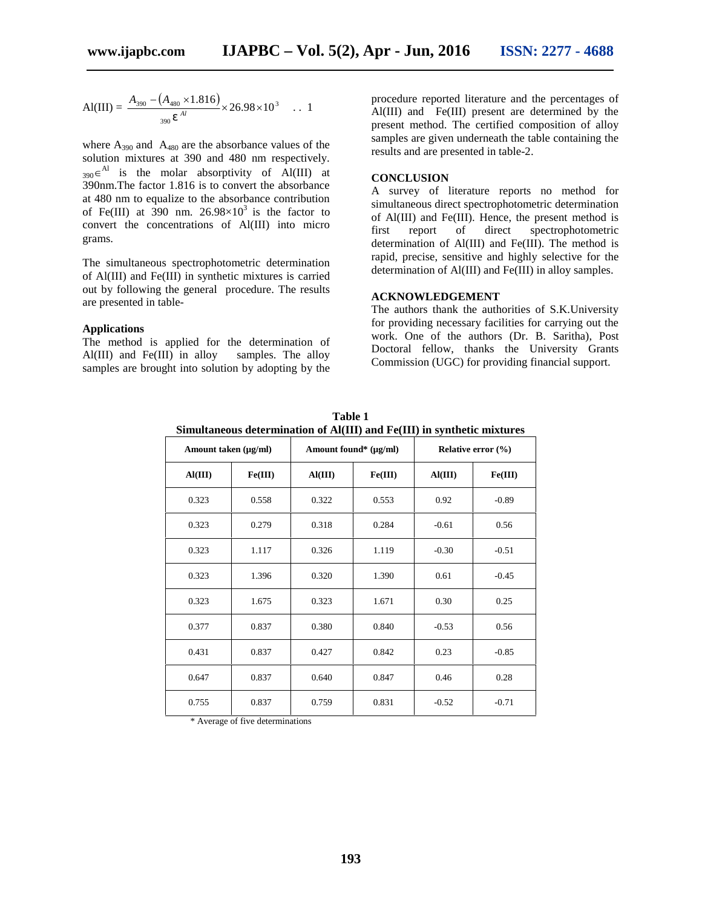$$
AI(III) = \frac{A_{390} - (A_{480} \times 1.816)}{390} \times 26.98 \times 10^3 \dots 1
$$

where  $A_{390}$  and  $A_{480}$  are the absorbance values of the solution mixtures at 390 and 480 nm respectively.  $_{390} \in$ <sup>Al</sup> is the molar absorptivity of Al(III) at 390nm.The factor 1.816 is to convert the absorbance at 480 nm to equalize to the absorbance contribution of Fe(III) at  $390$  nm.  $26.98 \times 10^3$  is the factor to convert the concentrations of Al(III) into micro $\frac{61 \text{ A}}{\text{first}}$ grams.

The simultaneous spectrophotometric determination of Al(III) and Fe(III) in synthetic mixtures is carried out by following the general procedure. The results are presented in table-

#### **Applications**

The method is applied for the determination of Al(III) and Fe(III) in alloy samples. The alloy Al(III) and Fe(III) in alloy samples are brought into solution by adopting by the

 $\frac{390}{N}$   $\frac{(1480 \times 1.010)}{N}$   $\times$  26.98  $\times$  10<sup>3</sup> ... 1<br>Al(III) and Fe(III) present are determined by the  $\frac{1.816}{2} \times 26.98 \times 10^3$  . 1 procedure reported literature and the percentages of present method. The certified composition of alloy samples are given underneath the table containing the results and are presented in table-2.

#### **CONCLUSION**

A survey of literature reports no method for simultaneous direct spectrophotometric determination of Al(III) and Fe(III). Hence, the present method is report of direct spectrophotometric determination of Al(III) and Fe(III). The method is rapid, precise, sensitive and highly selective for the determination of Al(III) and Fe(III) in alloy samples.

#### **ACKNOWLEDGEMENT**

The authors thank the authorities of S.K.University for providing necessary facilities for carrying out the work. One of the authors (Dr. B. Saritha), Post Doctoral fellow, thanks the University Grants Commission (UGC) for providing financial support.

| Amount taken (µg/ml) |         | Amount found* (µg/ml) |         | Relative error $(\% )$ |         |
|----------------------|---------|-----------------------|---------|------------------------|---------|
| AI(III)              | Fe(III) | AI(III)               | Fe(III) | AI(III)                | Fe(III) |
| 0.323                | 0.558   | 0.322                 | 0.553   | 0.92                   | $-0.89$ |
| 0.323                | 0.279   | 0.318                 | 0.284   | $-0.61$                | 0.56    |
| 0.323                | 1.117   | 0.326                 | 1.119   | $-0.30$                | $-0.51$ |
| 0.323                | 1.396   | 0.320                 | 1.390   | 0.61                   | $-0.45$ |
| 0.323                | 1.675   | 0.323                 | 1.671   | 0.30                   | 0.25    |
| 0.377                | 0.837   | 0.380                 | 0.840   | $-0.53$                | 0.56    |
| 0.431                | 0.837   | 0.427                 | 0.842   | 0.23                   | $-0.85$ |
| 0.647                | 0.837   | 0.640                 | 0.847   | 0.46                   | 0.28    |
| 0.755                | 0.837   | 0.759                 | 0.831   | $-0.52$                | $-0.71$ |

**Table 1 Simultaneous determination of Al(III) and Fe(III) in synthetic mixtures**

\* Average of five determinations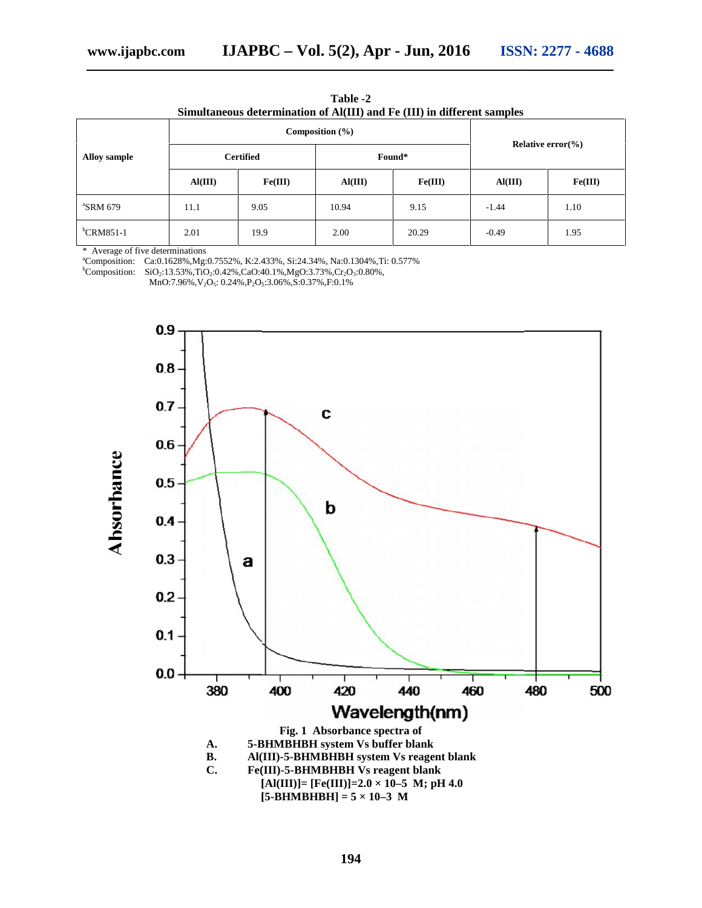| $T_{\text{min}}$ 2016 | TOONL 22 |  |
|-----------------------|----------|--|

| Simultaneous determination of Al(III) and Fe (III) in different samples |         |                     |         |         |         |                              |  |  |  |
|-------------------------------------------------------------------------|---------|---------------------|---------|---------|---------|------------------------------|--|--|--|
| <b>Alloy sample</b>                                                     |         | Composition $(\% )$ |         |         |         |                              |  |  |  |
|                                                                         |         | <b>Certified</b>    |         | Found*  |         | Relative error $\frac{6}{6}$ |  |  |  |
|                                                                         | AI(III) | Fe(III)             | AI(III) | Fe(III) | AI(III) | Fe(III)                      |  |  |  |
| $\mathrm{R}$ SRM 679                                                    | 11.1    | 9.05                | 10.94   | 9.15    | $-1.44$ | 1.10                         |  |  |  |
| ${}^{\rm b}$ CRM851-1                                                   | 2.01    | 19.9                | 2.00    | 20.29   | $-0.49$ | 1.95                         |  |  |  |

**Table -2**

\* Average of five determinations

<sup>a</sup>Composition: Ca:0.1628%,Mg:0.7552%, K:2.433%, Si:24.34%, Na:0.1304%,Ti: 0.577% CRM851-1 2.01 19.9 2.00 2.00 20.<br>
Average of five determinations<br>
Composition: Ca:0.1628%,Mg:0.7552%, K:2.433%, Si:24.34%, Na:0.1304%,Ti: 0.577%<br>
Composition: SiO<sub>2</sub>:13.53%,TiO<sub>2</sub>:0.42%,CaO:40.1%,MgO:3.73%,Cr<sub>2</sub>O<sub>3</sub>:0.80%,

 ${}^{b}$ Composition: SiO<sub>2</sub>:13.53%,TiO<sub>2</sub>:0.42%,CaO:40.1%,MgO:3.73%,Cr<sub>2</sub>O<sub>3</sub>:0.80%,

MnO:7.96%,V2O5: 0.24%,P2O5:3.06%,S:0.37%,F:0.1%